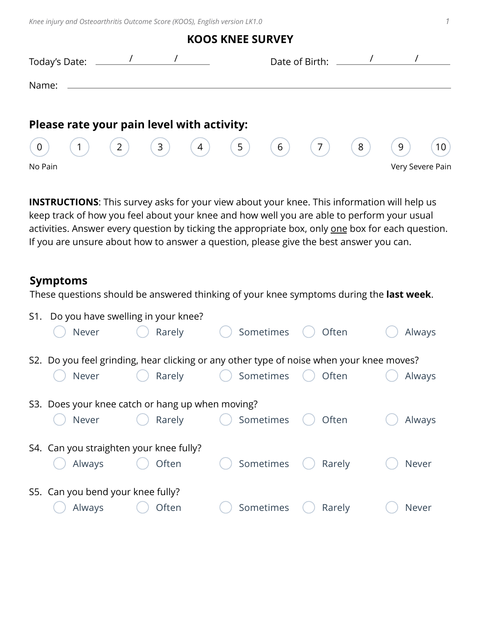*Knee injury and Osteoarthritis Outcome Score (KOOS), English version LK1.0 1*

|                |                |                                            |     |     | <b>KOOS KNEE SURVEY</b> |   |                      |   |   |                  |
|----------------|----------------|--------------------------------------------|-----|-----|-------------------------|---|----------------------|---|---|------------------|
| Today's Date:  |                |                                            |     |     |                         |   | Date of Birth: _____ |   |   |                  |
| Name:          |                |                                            |     |     |                         |   |                      |   |   |                  |
|                |                | Please rate your pain level with activity: |     |     |                         |   |                      |   |   |                  |
| $\overline{0}$ | 1 <sub>1</sub> | $\binom{2}{ }$                             | (3) | (4) | $\frac{7}{5}$           | 6 | 7 <sup>7</sup>       | 8 | 9 | 10               |
| No Pain        |                |                                            |     |     |                         |   |                      |   |   | Very Severe Pain |

**INSTRUCTIONS**: This survey asks for your view about your knee. This information will help us keep track of how you feel about your knee and how well you are able to perform your usual activities. Answer every question by ticking the appropriate box, only one box for each question. If you are unsure about how to answer a question, please give the best answer you can.

## **Symptoms**

These questions should be answered thinking of your knee symptoms during the **last week**.

| S1. | Do you have swelling in your knee?<br>Never                                              | Rarely | Sometimes | Often     | Always |
|-----|------------------------------------------------------------------------------------------|--------|-----------|-----------|--------|
|     | S2. Do you feel grinding, hear clicking or any other type of noise when your knee moves? |        |           |           |        |
|     | Never                                                                                    | Rarely | Sometimes | ( ) Often | Always |
|     | S3. Does your knee catch or hang up when moving?<br>Never                                | Rarely | Sometimes | Often     | Always |
|     | S4. Can you straighten your knee fully?<br>Always                                        | Often  | Sometimes | Rarely    | Never  |
|     | S5. Can you bend your knee fully?<br>Always                                              | Often  | Sometimes | Rarely    | Never  |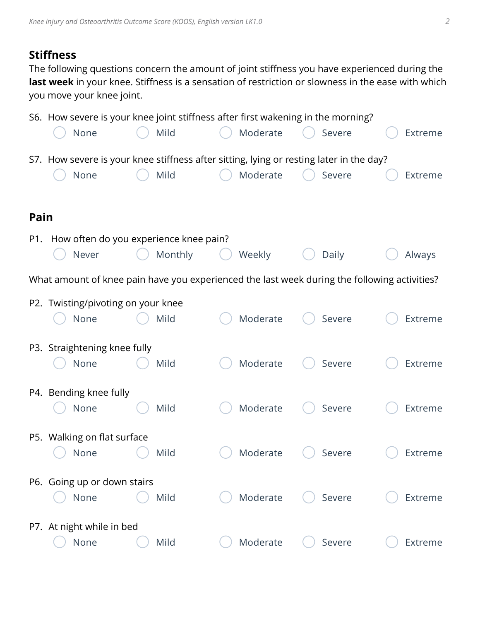## **Stiffness**

The following questions concern the amount of joint stiffness you have experienced during the **last week** in your knee. Stiffness is a sensation of restriction or slowness in the ease with which you move your knee joint.

|      |                                    | S6. How severe is your knee joint stiffness after first wakening in the morning? |          |                                                                                              |         |
|------|------------------------------------|----------------------------------------------------------------------------------|----------|----------------------------------------------------------------------------------------------|---------|
|      | None                               | Mild                                                                             | Moderate | Severe                                                                                       | Extreme |
|      |                                    |                                                                                  |          | S7. How severe is your knee stiffness after sitting, lying or resting later in the day?      |         |
|      | None                               | Mild                                                                             | Moderate | Severe                                                                                       | Extreme |
|      |                                    |                                                                                  |          |                                                                                              |         |
| Pain |                                    |                                                                                  |          |                                                                                              |         |
| P1.  |                                    | How often do you experience knee pain?                                           |          |                                                                                              |         |
|      | Never                              | Monthly                                                                          | Weekly   | Daily                                                                                        | Always  |
|      |                                    |                                                                                  |          | What amount of knee pain have you experienced the last week during the following activities? |         |
|      | P2. Twisting/pivoting on your knee |                                                                                  |          |                                                                                              |         |
|      | None                               | Mild                                                                             | Moderate | Severe                                                                                       | Extreme |
|      | P3. Straightening knee fully       |                                                                                  |          |                                                                                              |         |
|      | None                               | Mild                                                                             | Moderate | Severe                                                                                       | Extreme |
|      |                                    |                                                                                  |          |                                                                                              |         |
|      | P4. Bending knee fully<br>None     | Mild                                                                             | Moderate | Severe                                                                                       | Extreme |
|      |                                    |                                                                                  |          |                                                                                              |         |
|      | P5. Walking on flat surface        |                                                                                  |          |                                                                                              |         |
|      | None                               | Mild                                                                             | Moderate | Severe                                                                                       | Extreme |
|      | P6. Going up or down stairs        |                                                                                  |          |                                                                                              |         |
|      | None                               | Mild                                                                             | Moderate | Severe                                                                                       | Extreme |
|      |                                    |                                                                                  |          |                                                                                              |         |
|      | P7. At night while in bed<br>None  | Mild                                                                             | Moderate | Severe                                                                                       | Extreme |
|      |                                    |                                                                                  |          |                                                                                              |         |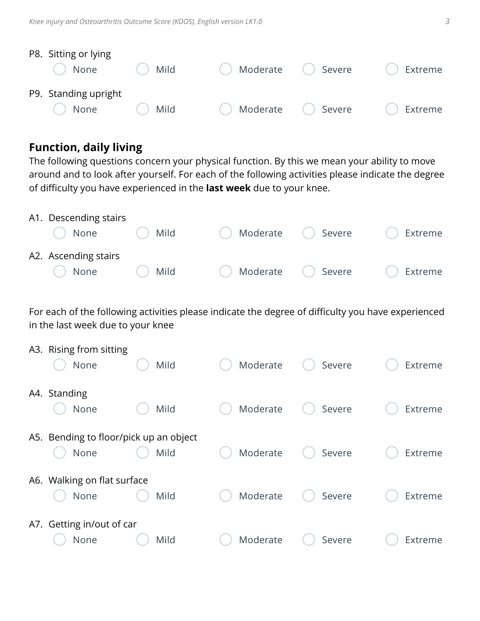| P8. Sitting or lying |      |                               |                    |         |
|----------------------|------|-------------------------------|--------------------|---------|
| None                 | Mild | $\hspace{0.15cm} \rightarrow$ | Moderate () Severe | Extreme |
| P9. Standing upright |      |                               |                    |         |
| None                 | Mild | Moderate () Severe            |                    | Extreme |

## **Function, daily living**

The following questions concern your physical function. By this we mean your ability to move around and to look after yourself. For each of the following activities please indicate the degree of difficulty you have experienced in the **last week** due to your knee.

| A1. Descending stairs |            |                                                    |                 |                   |
|-----------------------|------------|----------------------------------------------------|-----------------|-------------------|
| $\bigcap$ None        | $( )$ Mild | ◯ Moderate ◯ Severe                                |                 | Extreme<br>$(\ )$ |
| A2. Ascending stairs  |            |                                                    |                 |                   |
| $\bigcap$ None        | ( ) Mild   | $\left(\begin{array}{c} \hline \end{array}\right)$ | Moderate Severe | Extreme           |

For each of the following activities please indicate the degree of difficulty you have experienced in the last week due to your knee

| A3. Rising from sitting<br>None                | Mild | Moderate | Severe | Extreme |
|------------------------------------------------|------|----------|--------|---------|
| A4. Standing<br>None                           | Mild | Moderate | Severe | Extreme |
| A5. Bending to floor/pick up an object<br>None | Mild | Moderate | Severe | Extreme |
| A6. Walking on flat surface<br>None            | Mild | Moderate | Severe | Extreme |
| A7. Getting in/out of car<br>None              | Mild | Moderate | Severe | Extreme |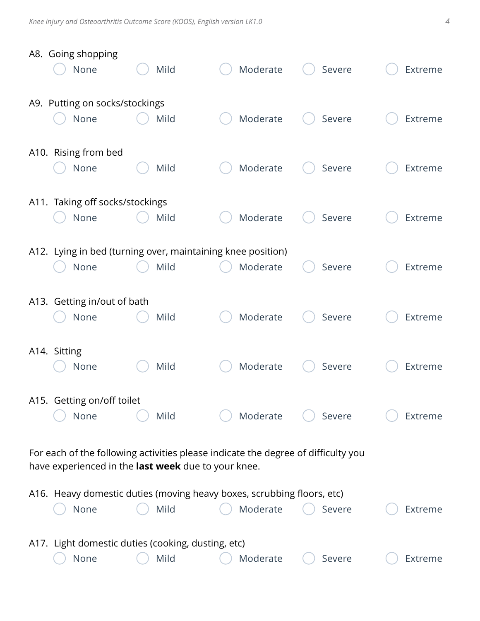|                                                                                                                                          | A8. Going shopping<br>None                                 | Mild | Moderate                                                                           | Severe | Extreme        |  |
|------------------------------------------------------------------------------------------------------------------------------------------|------------------------------------------------------------|------|------------------------------------------------------------------------------------|--------|----------------|--|
|                                                                                                                                          | A9. Putting on socks/stockings<br>None                     | Mild | Moderate                                                                           | Severe | Extreme        |  |
|                                                                                                                                          | A10. Rising from bed<br>None                               | Mild | Moderate                                                                           | Severe | Extreme        |  |
| A11.                                                                                                                                     | Taking off socks/stockings<br>None                         | Mild | Moderate                                                                           | Severe | Extreme        |  |
|                                                                                                                                          | None                                                       | Mild | A12. Lying in bed (turning over, maintaining knee position)<br>Moderate            | Severe | Extreme        |  |
|                                                                                                                                          | A13. Getting in/out of bath<br>None                        | Mild | Moderate                                                                           | Severe | Extreme        |  |
|                                                                                                                                          | A14. Sitting<br>None                                       | Mild | Moderate                                                                           | Severe | <b>Extreme</b> |  |
|                                                                                                                                          | A15. Getting on/off toilet<br>None                         | Mild | Moderate                                                                           | Severe | Extreme        |  |
| For each of the following activities please indicate the degree of difficulty you<br>have experienced in the last week due to your knee. |                                                            |      |                                                                                    |        |                |  |
|                                                                                                                                          | None                                                       | Mild | A16. Heavy domestic duties (moving heavy boxes, scrubbing floors, etc)<br>Moderate | Severe | Extreme        |  |
|                                                                                                                                          | A17. Light domestic duties (cooking, dusting, etc)<br>None | Mild | Moderate                                                                           | Severe | Extreme        |  |